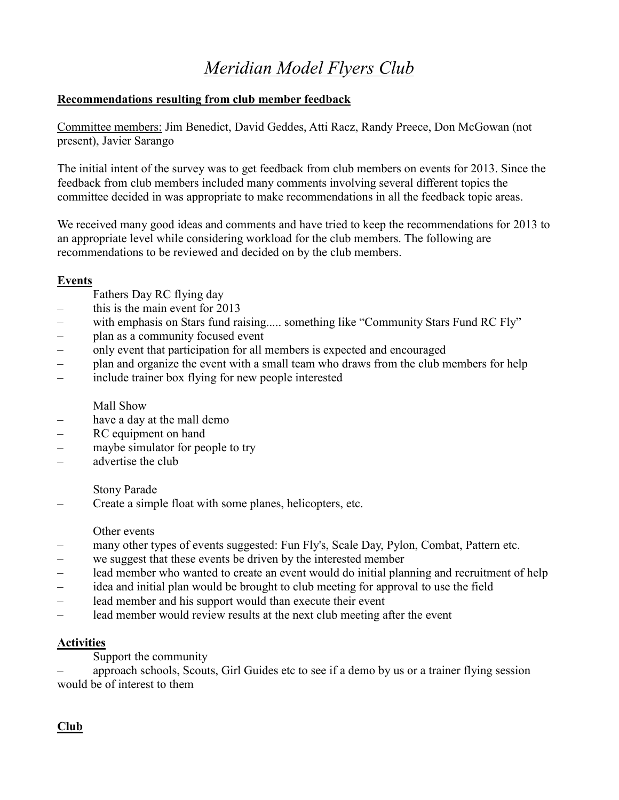# *Meridian Model Flyers Club*

## **Recommendations resulting from club member feedback**

Committee members: Jim Benedict, David Geddes, Atti Racz, Randy Preece, Don McGowan (not present), Javier Sarango

The initial intent of the survey was to get feedback from club members on events for 2013. Since the feedback from club members included many comments involving several different topics the committee decided in was appropriate to make recommendations in all the feedback topic areas.

We received many good ideas and comments and have tried to keep the recommendations for 2013 to an appropriate level while considering workload for the club members. The following are recommendations to be reviewed and decided on by the club members.

### **Events**

- Fathers Day RC flying day
- this is the main event for 2013
- with emphasis on Stars fund raising..... something like "Community Stars Fund RC Fly"
- plan as a community focused event
- only event that participation for all members is expected and encouraged
- plan and organize the event with a small team who draws from the club members for help
- include trainer box flying for new people interested

### Mall Show

- have a day at the mall demo
- RC equipment on hand
- maybe simulator for people to try
- advertise the club

### Stony Parade

– Create a simple float with some planes, helicopters, etc.

### Other events

- many other types of events suggested: Fun Fly's, Scale Day, Pylon, Combat, Pattern etc.
- we suggest that these events be driven by the interested member
- lead member who wanted to create an event would do initial planning and recruitment of help
- idea and initial plan would be brought to club meeting for approval to use the field
- lead member and his support would than execute their event
- lead member would review results at the next club meeting after the event

### **Activities**

Support the community

– approach schools, Scouts, Girl Guides etc to see if a demo by us or a trainer flying session would be of interest to them

## **Club**